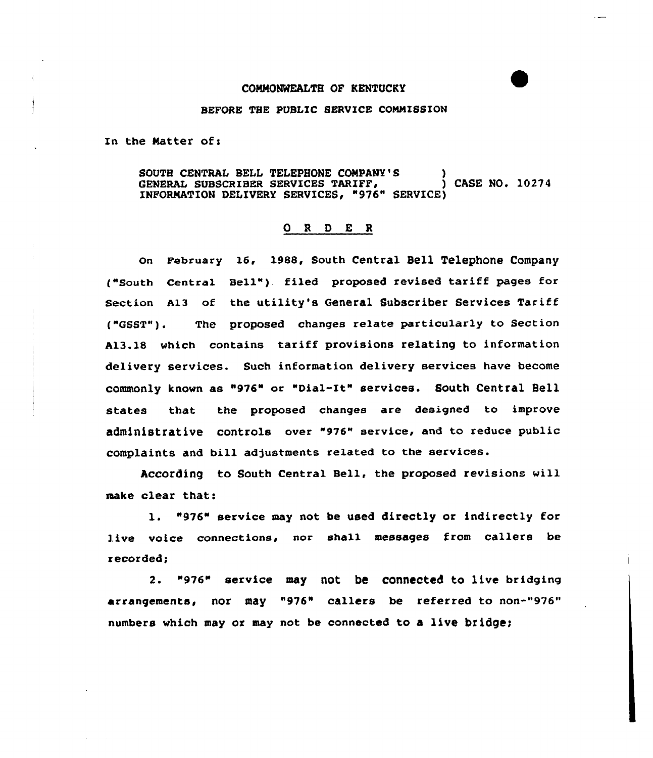## COMMONWEALTH OF KENTUCKY

## BEFORE THE PUBLIC SERVICE CONNISSION

In the Matter of:

SOUTH CENTRAL BELL TELEPHONE COMPANY'S  $\overline{S}$  ) CASE NO. 10274 GENERAL SUBSCRIBER SERVICES TARIFF, INFORMATION DELIVERY SERVICES, "976" SERVICE)

## 0 <sup>R</sup> 0 E <sup>R</sup>

On February 16, 1988, South Central Bell Telephone Company ("South Central Bell") filed proposed revised tariff pages for section A13 of the utility's General Subscriber Services Tariff ("GSST"). The proposed changes re1ate particularly to Section A13.18 which contains tariff provisions relating to information delivery services. Such information delivery services have become COmmOnly knOWn aS "976" or "Dial-It" SerViCea. SOuth Central Bell states that the proposed changes are designed to improve administrative controls over "976" service, and to reduce public complaints and bill adjustments related to the services.

According to South Central Bell, the proposed revisions will make clear that:

l. "976" service may not be used directly or indirectly for live voice connections, nor shall messages from callers be recorded;

2. "976" service may not be connected to live bridging arrangements, nor may "976" callers be referred to non-"976" numbers which may or may not be connected to a live bridge;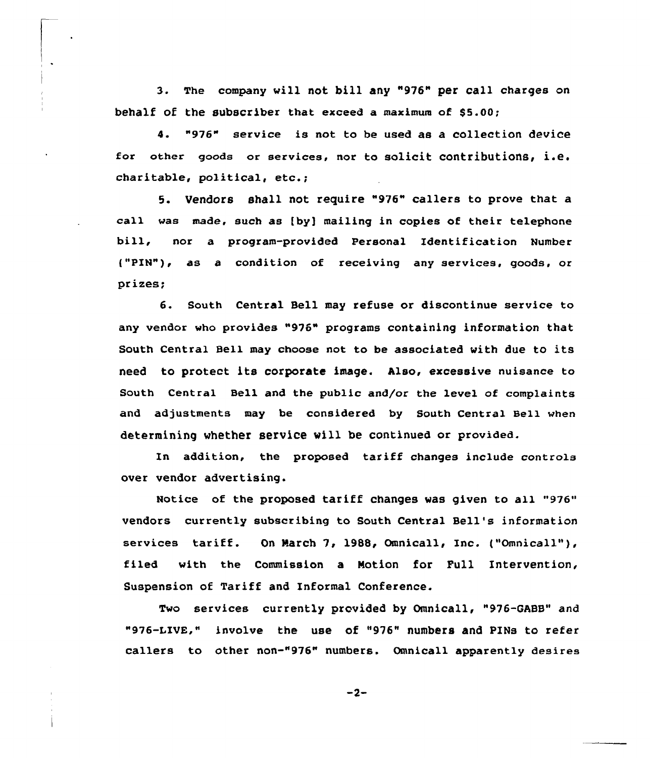3. The company vill not bill any "976" per call charges on behalf of the subscriber that exceed a maximum of  $$5.00;$ 

4. "976" service is not to be used as a collection device for other goods or services, nor to solicit contributions< i.e. charitable, political, etc.;

5. Vendors shall not require "976" callers to prove that a call was made, such as [by) mailing in copies of their telephone bill, nor <sup>a</sup> program-provided Personal Identification Number {"PIN"), as a condition of receiving any services, goods, or prizes;

6. South Central Bell may refuse or discontinue service to any vendor who provides "976" programs containing information that South Central Bell may choose not to be associated vith due to its need to protect its corporate image. Also, excessive nuisance to South Central Bell and the public and/or the level of complaints and adjustments may be considered by South Central Bell when determining whether service vill be continued or provided.

In addition, the proposed tariff changes include controls over vendor advertising.

Notice of the proposed tariff changes was given to all "976" vendors currently subscribing to South Central Bell's information services tariff. On March 7, 1988, Omnicall, Inc. ("Omnicall"), filed with the Commission a Motion for Pull Intervention, Suspension of Tariff and Informal Conference.

Two services currently provided by Omnicall, "976-GABB" and "976-I.IVE," involve the use of "976" numbers and PINs to refer callers to other non-"976" numbers. Omnicall apparently desires

 $-2-$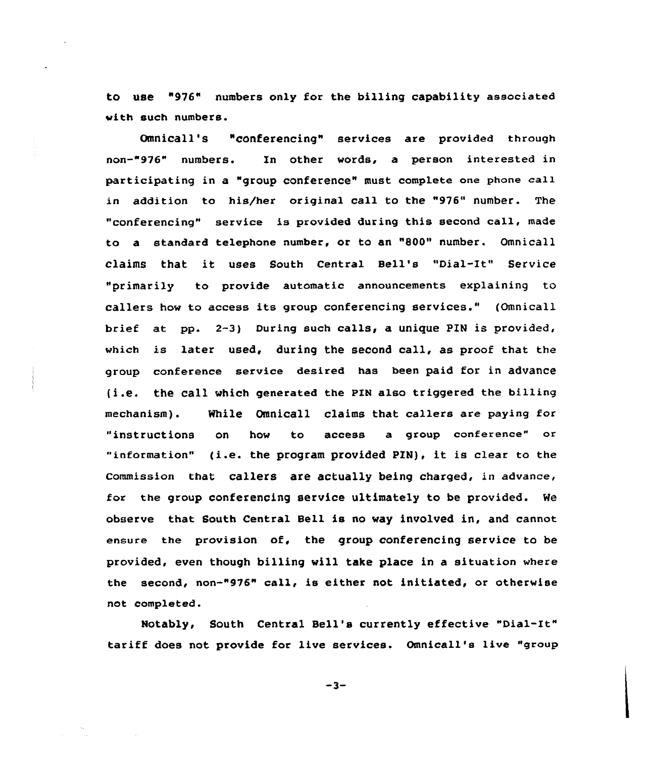to use "976" numbers only for the billing capability associated with such numbers.

Omnicall's "conferencing" services are provided through non-"976" numbers. Xn other words, a person interested in participating in a "group conference" must complete one phone call in addition to his/her original call to the "976" number. The "conferencing" service is provided during this second call, made to a standard telephone number, or to an "800" number. Omnicall claims that it uses south central Bell's "Dial-It" service "primarily to provide automatic announcements explaining to callers how to access its group conferencing services." (Omnicall brief at pp. 2-3) During such calls, a unique PIN is provided, which is later used, during the second call, as proof that the group conference service desired has been paid for in advance (i.e. the Call which generated the pIN also triggered the billing mechanism). While Omnicall claims that callers are paying for "instructions on how to access a group conference" or "information" (i.e. the program provided PIN), it is clear to the commission that callers are actually being charged, in advance, for the group conferencing service ultimately to be provided. We observe that South Central Bell is no way involved in, and cannot ensure the provision of, the group conferencing service to be provided, even though billing will take place in a situation where the second, non-"976" call, is either not initiated, or otherwise not completed.

Notably, South Central Bell's currently effective "Dial-It" tariff does not provide for live services. Omnicall's live "group

 $-3-$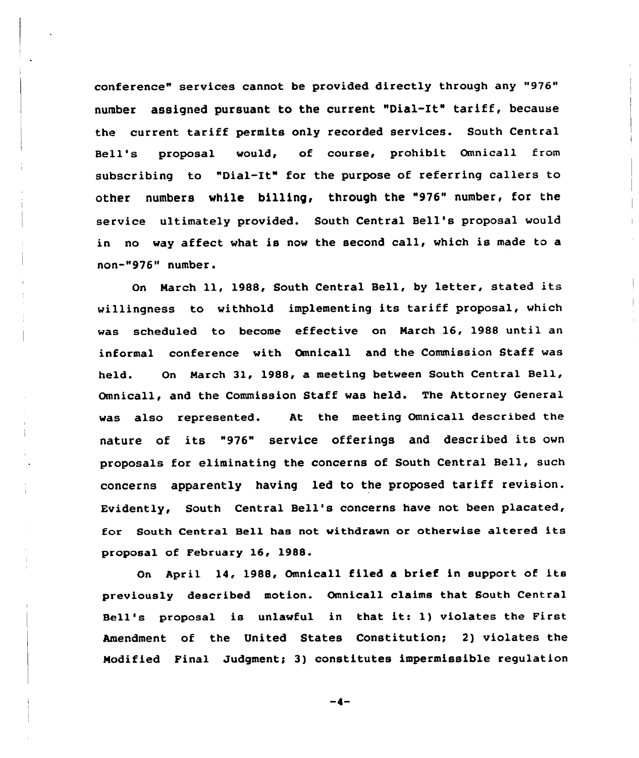conference" services cannot be provided directly through any "976" number assigned pursuant to the current "Dial-It" tariff, because the current tariff permits only recorded services. South Central Bell's proposal would, of course, prohibit Omnicall from subscribing to "Dial-It" for the purpose of referring callers to other numbers while billing, through the "976" number, for the service ultimately provided. South Central Bell's proposal would in no way affect what is now the second call, which is made to a non-"976" number.

On Narch ll, 198&, South Central Bell, by letter, stated its willingness to withhold implementing its tariff proposal, which was scheduled to become effective on Narch 16, 1988 until an informal conference with Omnicall and the Commission Staff was held. On Narch 31, 1988, a meeting between South Central Bell, Omnicall, and the Commission Staff was held. The Attorney General was also represented. At the meeting Omnicall described the nature of its "976" service offerings and described its own proposals for eliminating the concerns of South Central Bell, such concerns apparently having led to the proposed tariff revision. Evidently, South Central Bell's concerns have not been placated, for South Central Bell has not withdrawn or otherwise altered its proposal of February 16, 1988.

On April 14, 1988, Omnicall filed a brief in support of its previously described motion. Omnicall claims that South Central Bell's proposal is unlawful in that it: 1} violates the First Amendment of the United States Constitution; 2) violates the Modified Final Judgment; 3) constitutes impermissible regulation

 $-4-$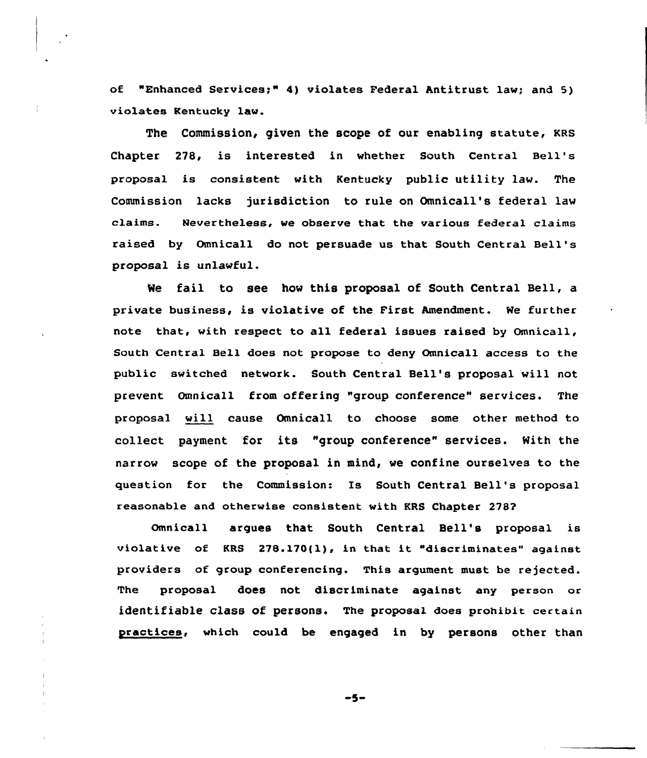of "Enhanced Services;" 4) violates Federal Antitrust law; and 5) violates Kentucky law.

The Commission, given the scope of our enabling statute, KRs Chapter 278, is interested in whether South Central Bell' proposal is consistent with Kentucky public utility law. The Commission lacks jurisdiction to rule on Omnicall's federal law claims. Nevertheless, we observe that the various federal claims raised by Omnicall do not persuade us that South Central Bell' proposal is unlawful.

We fail to see how this proposal of South Central Bell, a private business, is violative of the First Amendment. We further note that, with respect to all federal issues raised by Omnicall, South Central BeLl does not propose to deny Omnicall access to the public switched network. South Central Bell's proposal will not prevent Omnicall from offering "group conference" services. The proposal will cause Omnicall to choose some other method to collect payment for its "group conference" services. With the narrow scope of the proposal in mind, we confine ourselves to the question for the Commission: Is South Central Bell's proposal reasonable and otherwise consistent with KRS Chapter 278?

Omnicall argues that South Central Bell's proposal is violative of KRS 278.170{1), in that it "discriminates" against providers of group conferencing. This argument must be rejected. The proposal does not discriminate against any person or identifiable class of persons. The proposal does prohibit certain practices, which could be engaged in by persons other than

-5-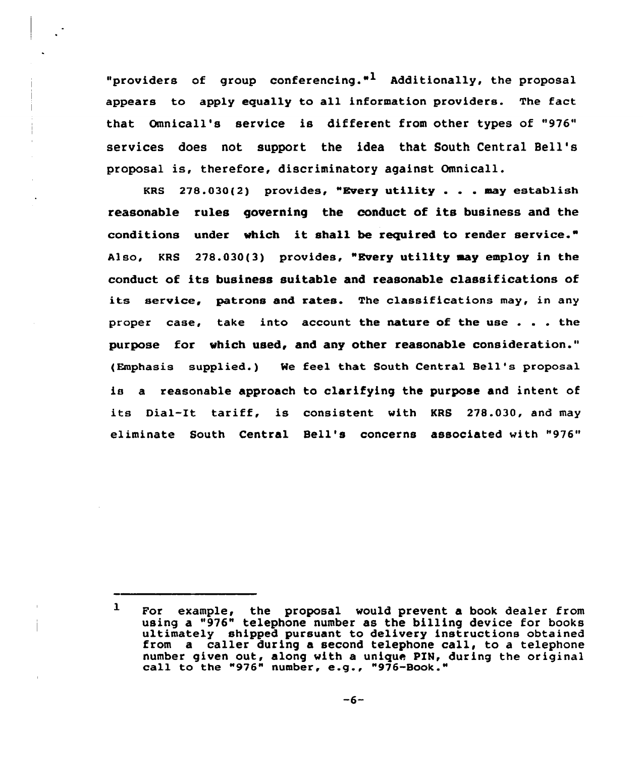"providers of group conferencing."<sup>1</sup> Additionally, the proposal appears to apply equally to all information providers. The fact that Omnicall's service is different from other types of "976" services does not support the idea that South Central Bell' proposal is, therefore, discriminatory against Omnicall.

KRS 278.030(2) provides, "Every utility . . . may establish reasonable rules governing the conduct of its business and the conditions under which it shall be required to render service." Also, KRS 278.030(3) provides, "Every utility may employ in the conduct of its business suitable and reasonable classifications of its service, patrons and rates. The classifications may, in any proper case, take into account the nature of the use  $\ldots$  the purpose for which used, and any other reasonable consideration." (Emphasis supplied.) Ne feel that South Central Bell's proposal is a reasonable approach to clarifying the purpose and intent of its Dial-It tariff, is consistent with KRS 278.030, and may eliminate South Central Bell's concerns associated with "976"

 $\mathbf{1}$ For example, the proposal would prevent a book dealer from using a "976" telephone number as the billing device for books ultimately shipped pursuant to delivery instructions obtained from a caller during a second telephone call, to <sup>a</sup> telephone number given out, along with <sup>a</sup> unique PIN, during the original call to the "976" number, e.g., "976-Book."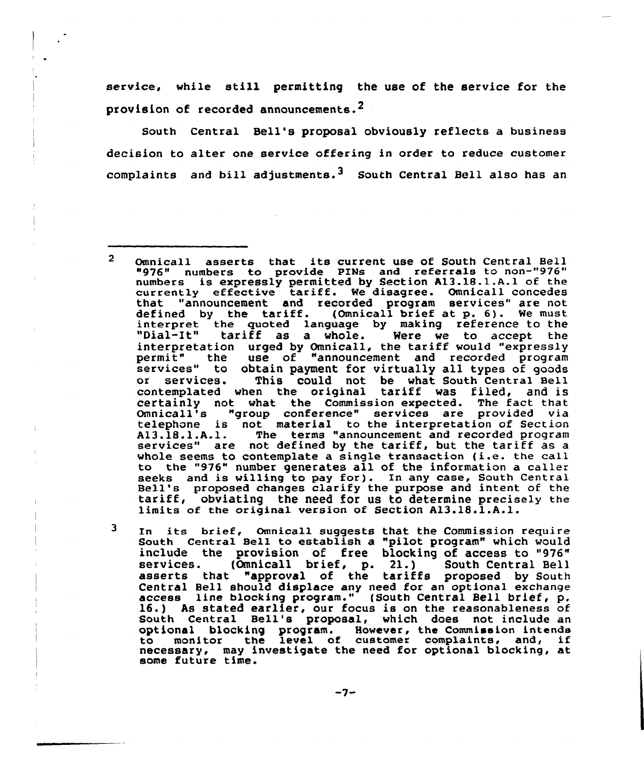service, while still permitting the use of the service for the provision of recorded announcements.<sup>2</sup>

South Central Bell's proposal obviously reflects a business decision to alter one service offering in order to reduce customer complaints and bill adjustments.<sup>3</sup> South Central Bell also has an

3 In its brief, Omnica11 suggests that the Commission require South Central Bell to establish a "pilot program" which would include the provision of free blocking of access to "976"<br>services. (Omnicall brief, p. 21.) South Central Bell services. (Omnicall brief, p. 21.) South Central Bell asserts that "approval of the tariffs proposed by South Central Bell should displace any need for an optional exchange access line blocking program." (South Central Bell brief, p. 16.) As stated earlier, our focus is on the reasonableness of South Central Bell's proposal, which does not include an optional blocking program. However, the Commission intends to monitor the level of customer complaints, and, if necessary, may investigate the need for optional blocking, at some future time.

-7-

 $\overline{2}$ Omnicall asserts that its current use of South Central Bell "976" numbers to provide PINs and referrals to non-"976" numbers is expressly permitted by Section A13.18.1.A.1 of the numbers is expressly permitted by section Als.18.1.A.1 of the<br>currently effective tariff. We disagree. Omnicall concedes that "announcement and recorded program services" are not defined by the tariff. (Omnicall brief at p. 6). We must interpret the quoted language by making reference to the<br>"Dial-It" tariff as a whole. Were we to accept the interpretation urged by Omnicall, the tariff would "expressly<br>permit" the use of "announcement and recorded program services" to obtain payment for virtually all types of goods<br>or services. This could not be what South Central Bell This could not be what South Central Bell contemplated when the original tariff was filed, and is certainly not what the Commission expected. The fact that Omnicall's "group conference" services are provided via telephone is not material to the interpretation of Section A13.18.1.A.l. The terms "announcement and recorded program services" are not defined by the tariff, but the tariff as <sup>a</sup> whole seems to contemplate <sup>a</sup> single transaction (i.e. the call to the "976" number generates all of the information a caller seeks and is willing to pay for). In any case, South Central<br>Bell's proposed changes clarify the purpose and intent of the<br>tariff, obviating the need for us to determine precisely the limits of the original version of Section A13.18.1.A.l.